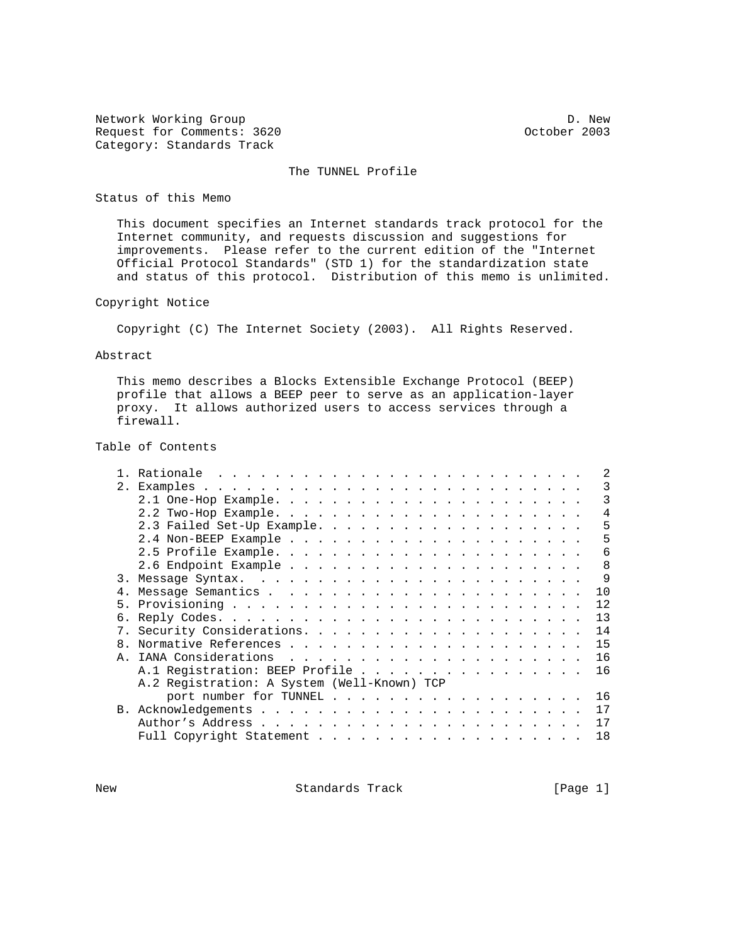Network Working Group Developments: 3620 D. New D. New D. New D. New D. New D. New D. New D. New D. New D. New Request for Comments: 3620 Category: Standards Track

# The TUNNEL Profile

Status of this Memo

 This document specifies an Internet standards track protocol for the Internet community, and requests discussion and suggestions for improvements. Please refer to the current edition of the "Internet Official Protocol Standards" (STD 1) for the standardization state and status of this protocol. Distribution of this memo is unlimited.

## Copyright Notice

Copyright (C) The Internet Society (2003). All Rights Reserved.

#### Abstract

 This memo describes a Blocks Extensible Exchange Protocol (BEEP) profile that allows a BEEP peer to serve as an application-layer proxy. It allows authorized users to access services through a firewall.

Table of Contents

|    |                                             | 2  |
|----|---------------------------------------------|----|
| 2. |                                             | 3  |
|    |                                             | 3  |
|    |                                             | 4  |
|    | 2.3 Failed Set-Up Example.                  | 5  |
|    |                                             | 5  |
|    |                                             | 6  |
|    |                                             | 8  |
| 3. |                                             | 9  |
| 4. |                                             | 10 |
| 5. |                                             | 12 |
|    |                                             | 13 |
| 7. |                                             | 14 |
| 8. |                                             | 15 |
| Ά. |                                             | 16 |
|    | A.1 Registration: BEEP Profile              | 16 |
|    | A.2 Registration: A System (Well-Known) TCP |    |
|    | port number for TUNNEL                      | 16 |
|    |                                             | 17 |
|    |                                             | 17 |
|    |                                             | 18 |
|    |                                             |    |

New Standards Track [Page 1]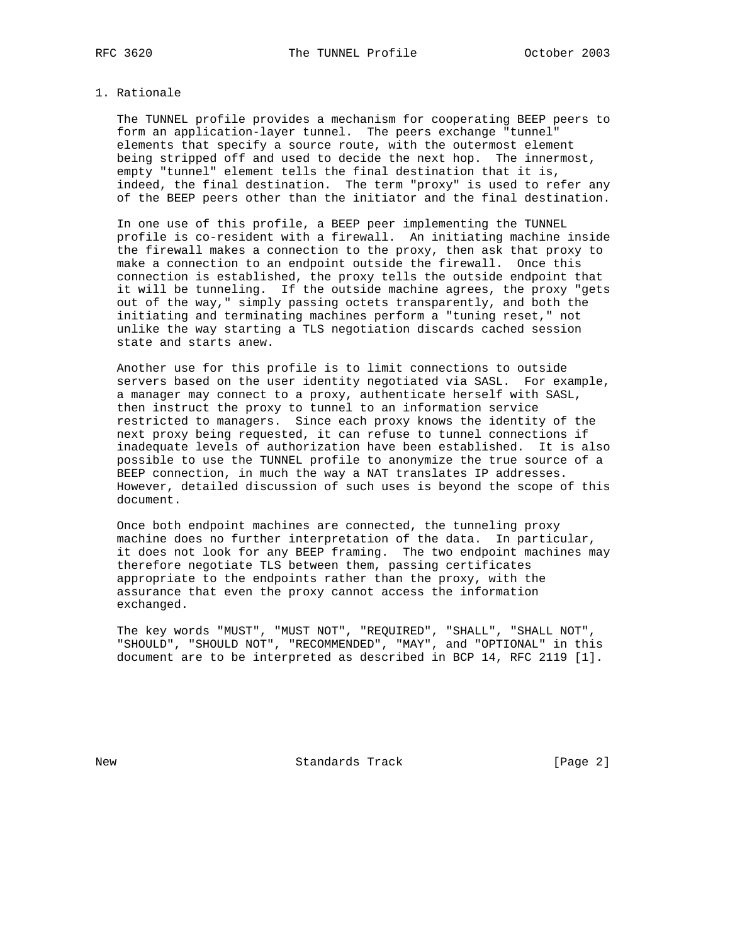## 1. Rationale

 The TUNNEL profile provides a mechanism for cooperating BEEP peers to form an application-layer tunnel. The peers exchange "tunnel" elements that specify a source route, with the outermost element being stripped off and used to decide the next hop. The innermost, empty "tunnel" element tells the final destination that it is, indeed, the final destination. The term "proxy" is used to refer any of the BEEP peers other than the initiator and the final destination.

 In one use of this profile, a BEEP peer implementing the TUNNEL profile is co-resident with a firewall. An initiating machine inside the firewall makes a connection to the proxy, then ask that proxy to make a connection to an endpoint outside the firewall. Once this connection is established, the proxy tells the outside endpoint that it will be tunneling. If the outside machine agrees, the proxy "gets out of the way," simply passing octets transparently, and both the initiating and terminating machines perform a "tuning reset," not unlike the way starting a TLS negotiation discards cached session state and starts anew.

 Another use for this profile is to limit connections to outside servers based on the user identity negotiated via SASL. For example, a manager may connect to a proxy, authenticate herself with SASL, then instruct the proxy to tunnel to an information service restricted to managers. Since each proxy knows the identity of the next proxy being requested, it can refuse to tunnel connections if inadequate levels of authorization have been established. It is also possible to use the TUNNEL profile to anonymize the true source of a BEEP connection, in much the way a NAT translates IP addresses. However, detailed discussion of such uses is beyond the scope of this document.

 Once both endpoint machines are connected, the tunneling proxy machine does no further interpretation of the data. In particular, it does not look for any BEEP framing. The two endpoint machines may therefore negotiate TLS between them, passing certificates appropriate to the endpoints rather than the proxy, with the assurance that even the proxy cannot access the information exchanged.

 The key words "MUST", "MUST NOT", "REQUIRED", "SHALL", "SHALL NOT", "SHOULD", "SHOULD NOT", "RECOMMENDED", "MAY", and "OPTIONAL" in this document are to be interpreted as described in BCP 14, RFC 2119 [1].

New Standards Track [Page 2]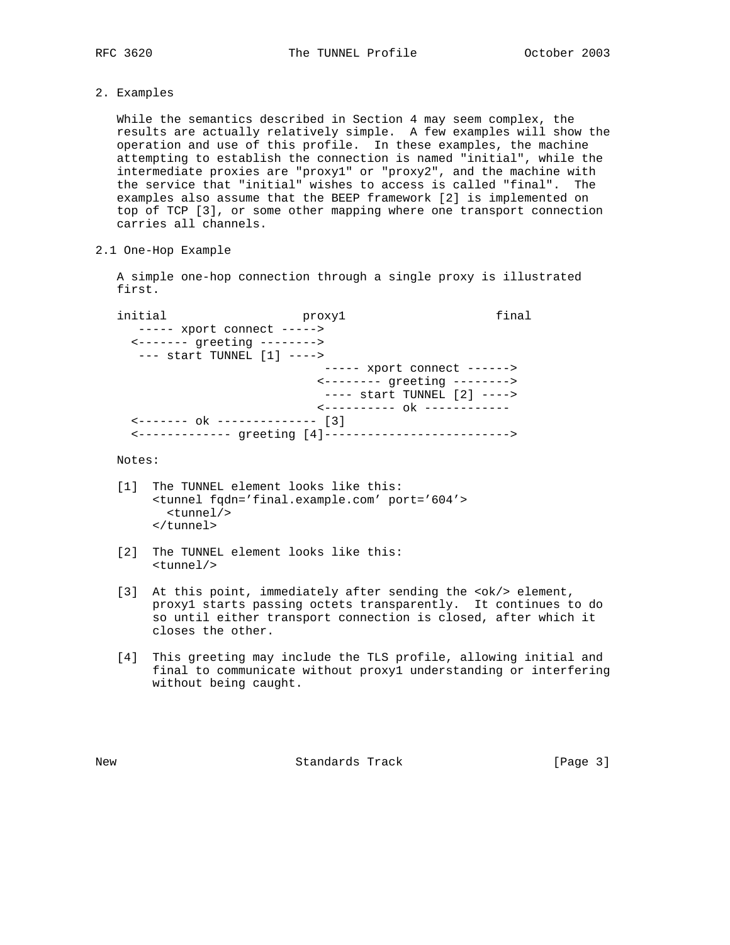2. Examples

 While the semantics described in Section 4 may seem complex, the results are actually relatively simple. A few examples will show the operation and use of this profile. In these examples, the machine attempting to establish the connection is named "initial", while the intermediate proxies are "proxy1" or "proxy2", and the machine with the service that "initial" wishes to access is called "final". The examples also assume that the BEEP framework [2] is implemented on top of TCP [3], or some other mapping where one transport connection carries all channels.

2.1 One-Hop Example

 A simple one-hop connection through a single proxy is illustrated first.

initial proxy1 final ----- xport connect -----> <------- greeting --------> --- start TUNNEL [1] ----> ----- xport connect ------> <-------- greeting --------> ---- start TUNNEL [2] ----> <---------- ok ------------ <------- ok -------------- [3] <------------- greeting [4]-------------------------->

# Notes:

- [1] The TUNNEL element looks like this: <tunnel fqdn='final.example.com' port='604'> <tunnel/> </tunnel>
- [2] The TUNNEL element looks like this: <tunnel/>
- [3] At this point, immediately after sending the <ok/> element, proxy1 starts passing octets transparently. It continues to do so until either transport connection is closed, after which it closes the other.
- [4] This greeting may include the TLS profile, allowing initial and final to communicate without proxy1 understanding or interfering without being caught.

New Standards Track [Page 3]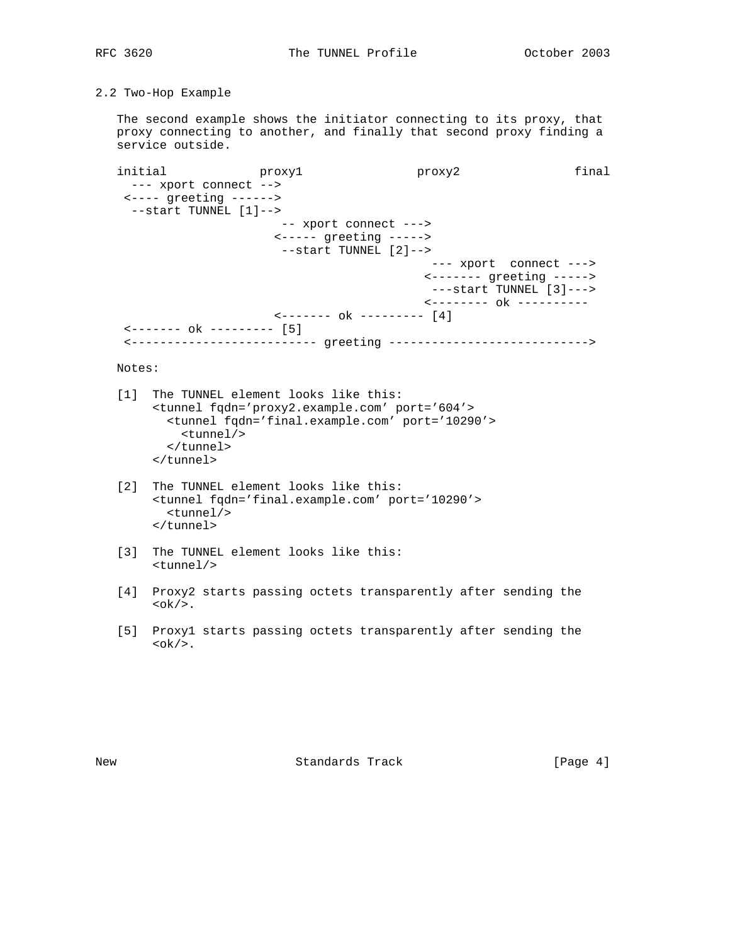2.2 Two-Hop Example

 The second example shows the initiator connecting to its proxy, that proxy connecting to another, and finally that second proxy finding a service outside.

initial proxy1 proxy2 final --- xport connect --> <---- greeting ------> --start TUNNEL [1]--> -- xport connect ---> <----- greeting -----> --start TUNNEL [2]--> --- xport connect ---> <------- greeting -----> ---start TUNNEL [3]---> <-------- ok ---------- <------- ok --------- [4] <------- ok --------- [5] <-------------------------- greeting ---------------------------->

Notes:

- [1] The TUNNEL element looks like this: <tunnel fqdn='proxy2.example.com' port='604'> <tunnel fqdn='final.example.com' port='10290'> <tunnel/> </tunnel> </tunnel>
- [2] The TUNNEL element looks like this: <tunnel fqdn='final.example.com' port='10290'> <tunnel/> </tunnel>
- [3] The TUNNEL element looks like this: <tunnel/>
- [4] Proxy2 starts passing octets transparently after sending the **.**
- [5] Proxy1 starts passing octets transparently after sending the **.**

New Standards Track [Page 4]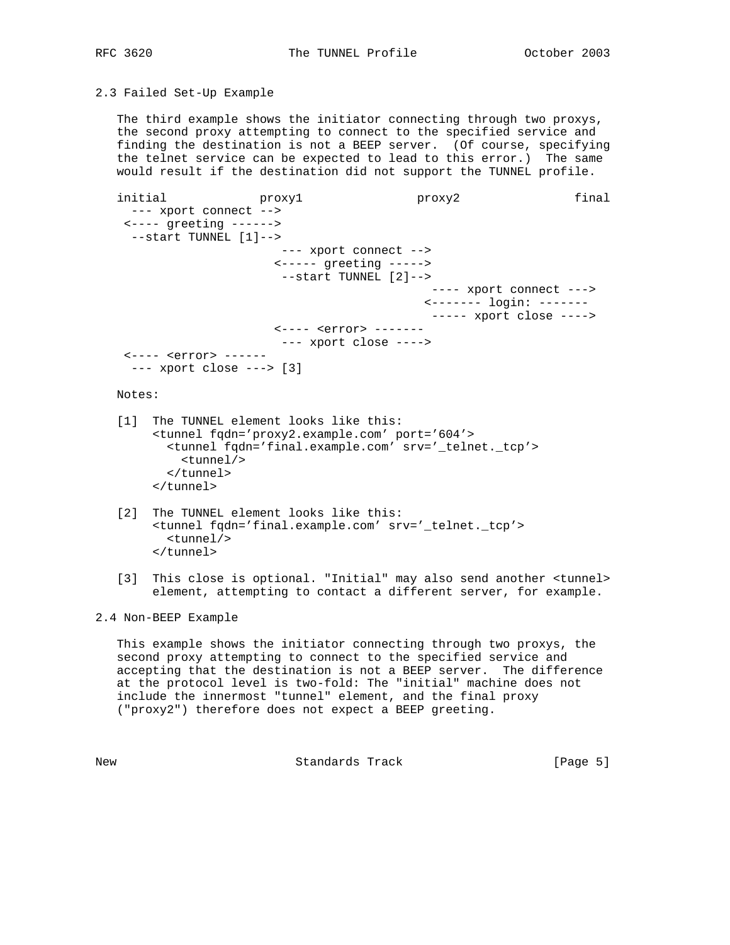2.3 Failed Set-Up Example

 The third example shows the initiator connecting through two proxys, the second proxy attempting to connect to the specified service and finding the destination is not a BEEP server. (Of course, specifying the telnet service can be expected to lead to this error.) The same would result if the destination did not support the TUNNEL profile.

initial proxy1 proxy2 final --- xport connect --> <---- greeting ------> --start TUNNEL [1]--> --- xport connect --> <----- greeting -----> --start TUNNEL [2]--> ---- xport connect ---> <------- login: ------- ----- xport close ----> <---- <error> ------- --- xport close ----> <---- <error> ------ --- xport close ---> [3]

Notes:

- [1] The TUNNEL element looks like this: <tunnel fqdn='proxy2.example.com' port='604'> <tunnel fqdn='final.example.com' srv='\_telnet.\_tcp'> <tunnel/> </tunnel> </tunnel>
- [2] The TUNNEL element looks like this: <tunnel fqdn='final.example.com' srv='\_telnet.\_tcp'> <tunnel/> </tunnel>
- [3] This close is optional. "Initial" may also send another <tunnel> element, attempting to contact a different server, for example.

2.4 Non-BEEP Example

 This example shows the initiator connecting through two proxys, the second proxy attempting to connect to the specified service and accepting that the destination is not a BEEP server. The difference at the protocol level is two-fold: The "initial" machine does not include the innermost "tunnel" element, and the final proxy ("proxy2") therefore does not expect a BEEP greeting.

New Standards Track [Page 5]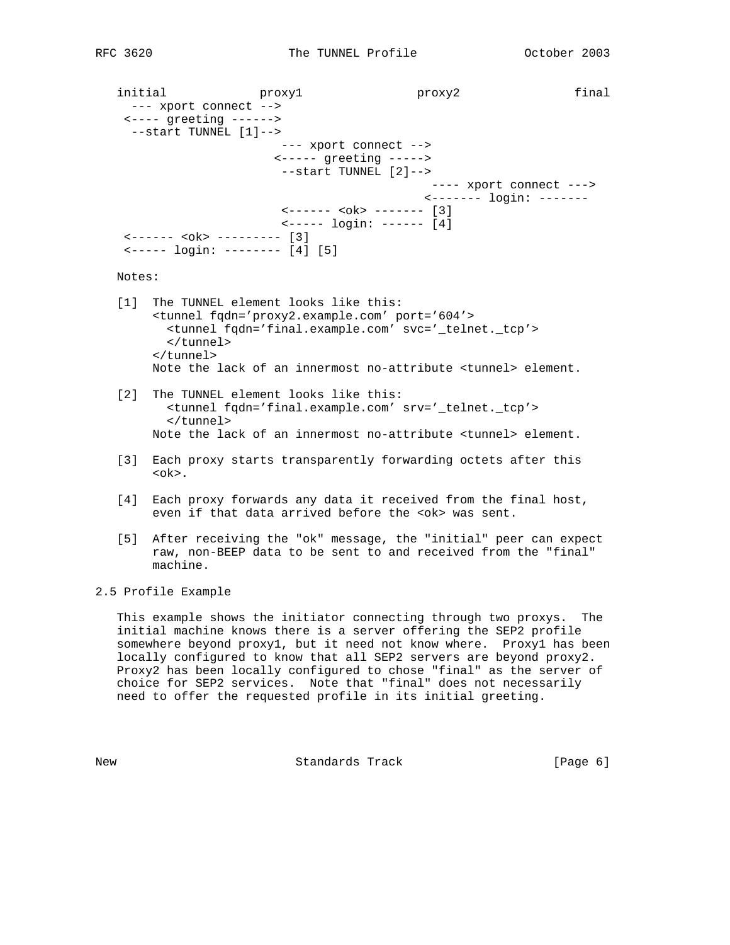initial proxy1 proxy2 final --- xport connect --> <---- greeting ------> --start TUNNEL [1]--> --- xport connect --> <----- greeting -----> --start TUNNEL [2]--> ---- xport connect ---> <------- login: -------  $\left\{ - \frac{- - - - - \leq 0k}{2} \right\}$  <----- login: ------ [4] <------ <ok> --------- [3] <----- login: -------- [4] [5] Notes: [1] The TUNNEL element looks like this: <tunnel fqdn='proxy2.example.com' port='604'> <tunnel fqdn='final.example.com' svc='\_telnet.\_tcp'> </tunnel> </tunnel> Note the lack of an innermost no-attribute <tunnel> element. [2] The TUNNEL element looks like this: <tunnel fqdn='final.example.com' srv='\_telnet.\_tcp'> </tunnel> Note the lack of an innermost no-attribute <tunnel> element.

- [3] Each proxy starts transparently forwarding octets after this <ok>.
- [4] Each proxy forwards any data it received from the final host, even if that data arrived before the <ok> was sent.
- [5] After receiving the "ok" message, the "initial" peer can expect raw, non-BEEP data to be sent to and received from the "final" machine.

2.5 Profile Example

 This example shows the initiator connecting through two proxys. The initial machine knows there is a server offering the SEP2 profile somewhere beyond proxy1, but it need not know where. Proxy1 has been locally configured to know that all SEP2 servers are beyond proxy2. Proxy2 has been locally configured to chose "final" as the server of choice for SEP2 services. Note that "final" does not necessarily need to offer the requested profile in its initial greeting.

New Standards Track [Page 6]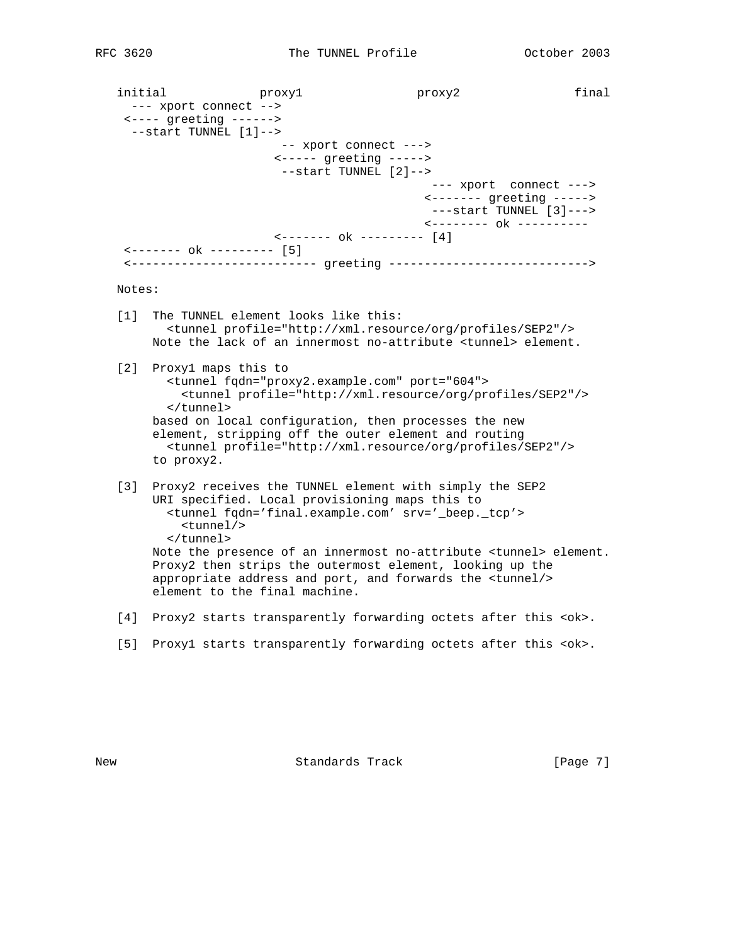initial proxy1 proxy2 final --- xport connect --> <---- greeting ------> --start TUNNEL [1]--> -- xport connect ---> <----- greeting -----> --start TUNNEL [2]--> --- xport connect ---> <------- greeting -----> ---start TUNNEL [3]---> <-------- ok ---------- <------- ok --------- [4] <------- ok --------- [5] <-------------------------- greeting ----------------------------> Notes: [1] The TUNNEL element looks like this: <tunnel profile="http://xml.resource/org/profiles/SEP2"/> Note the lack of an innermost no-attribute <tunnel> element. [2] Proxy1 maps this to <tunnel fqdn="proxy2.example.com" port="604"> <tunnel profile="http://xml.resource/org/profiles/SEP2"/> </tunnel> based on local configuration, then processes the new element, stripping off the outer element and routing <tunnel profile="http://xml.resource/org/profiles/SEP2"/> to proxy2. [3] Proxy2 receives the TUNNEL element with simply the SEP2 URI specified. Local provisioning maps this to <tunnel fqdn='final.example.com' srv='\_beep.\_tcp'> <tunnel/> </tunnel> Note the presence of an innermost no-attribute <tunnel> element. Proxy2 then strips the outermost element, looking up the appropriate address and port, and forwards the <tunnel/> element to the final machine.

- [4] Proxy2 starts transparently forwarding octets after this <ok>.
- [5] Proxy1 starts transparently forwarding octets after this <ok>.

New Standards Track [Page 7]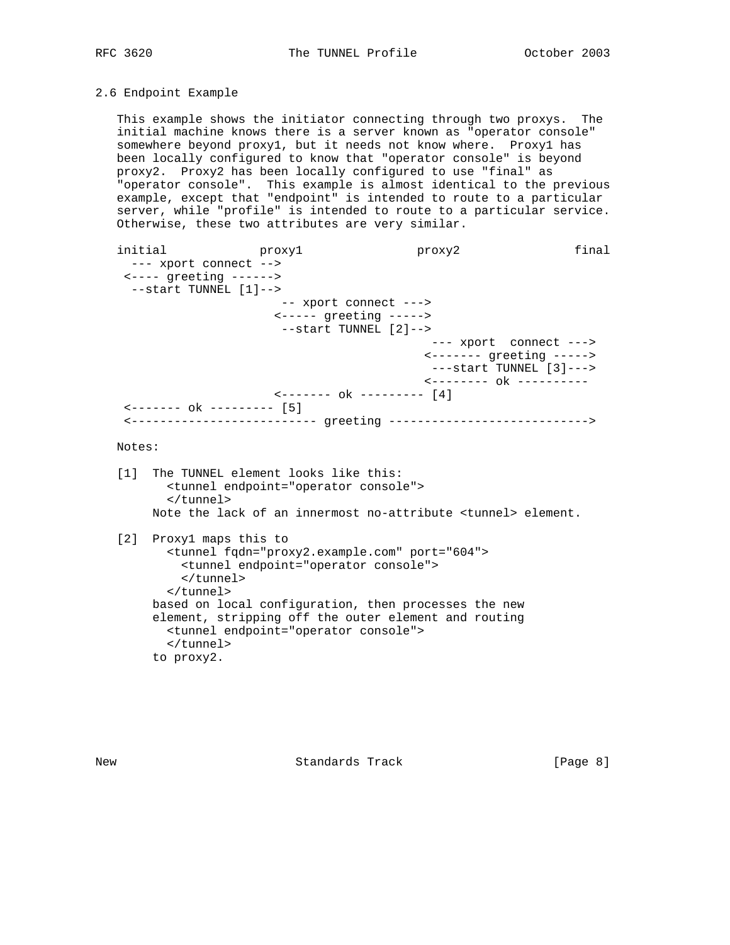# 2.6 Endpoint Example

 This example shows the initiator connecting through two proxys. The initial machine knows there is a server known as "operator console" somewhere beyond proxy1, but it needs not know where. Proxy1 has been locally configured to know that "operator console" is beyond proxy2. Proxy2 has been locally configured to use "final" as "operator console". This example is almost identical to the previous example, except that "endpoint" is intended to route to a particular server, while "profile" is intended to route to a particular service. Otherwise, these two attributes are very similar.

initial proxy1 proxy2 final --- xport connect --> <---- greeting ------> --start TUNNEL [1]--> -- xport connect ---> <----- greeting -----> --start TUNNEL [2]--> --- xport connect ---> <------- greeting -----> ---start TUNNEL [3]---> <-------- ok ---------- <------- ok --------- [4] <------- ok --------- [5] <-------------------------- greeting ----------------------------> Notes: [1] The TUNNEL element looks like this: <tunnel endpoint="operator console"> </tunnel> Note the lack of an innermost no-attribute <tunnel> element. [2] Proxy1 maps this to <tunnel fqdn="proxy2.example.com" port="604"> <tunnel endpoint="operator console"> </tunnel> </tunnel> based on local configuration, then processes the new element, stripping off the outer element and routing <tunnel endpoint="operator console"> </tunnel> to proxy2.

New Standards Track [Page 8]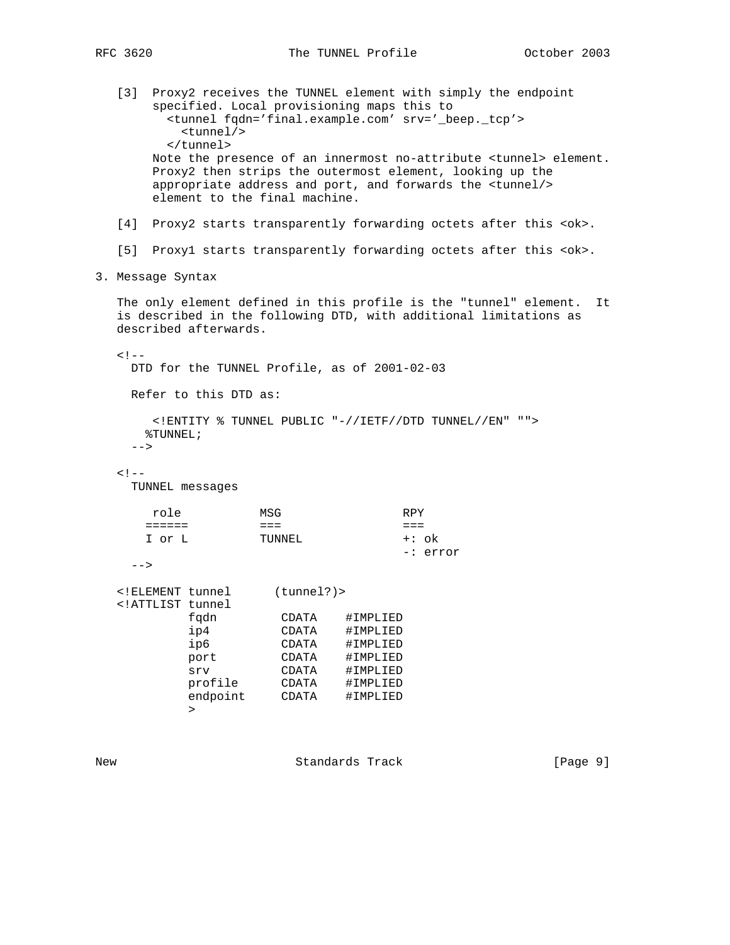[3] Proxy2 receives the TUNNEL element with simply the endpoint specified. Local provisioning maps this to <tunnel fqdn='final.example.com' srv='\_beep.\_tcp'> <tunnel/> </tunnel> Note the presence of an innermost no-attribute <tunnel> element. Proxy2 then strips the outermost element, looking up the appropriate address and port, and forwards the <tunnel/> element to the final machine. [4] Proxy2 starts transparently forwarding octets after this <ok>. [5] Proxy1 starts transparently forwarding octets after this <ok>. 3. Message Syntax The only element defined in this profile is the "tunnel" element. It is described in the following DTD, with additional limitations as described afterwards.  $< ! - -$  DTD for the TUNNEL Profile, as of 2001-02-03 Refer to this DTD as: <!ENTITY % TUNNEL PUBLIC "-//IETF//DTD TUNNEL//EN" ""> %TUNNEL;  $--&$  $< ! - -$  TUNNEL messages role MSG RPY ====== === === I or L TUNNEL +: ok -: error  $--&>$  <!ELEMENT tunnel (tunnel?)> <!ATTLIST tunnel fqdn CDATA #IMPLIED ip4 CDATA #IMPLIED ip6 CDATA #IMPLIED port CDATA #IMPLIED srv CDATA #IMPLIED profile CDATA #IMPLIED endpoint CDATA #IMPLIED  $\rightarrow$ 

New Standards Track [Page 9]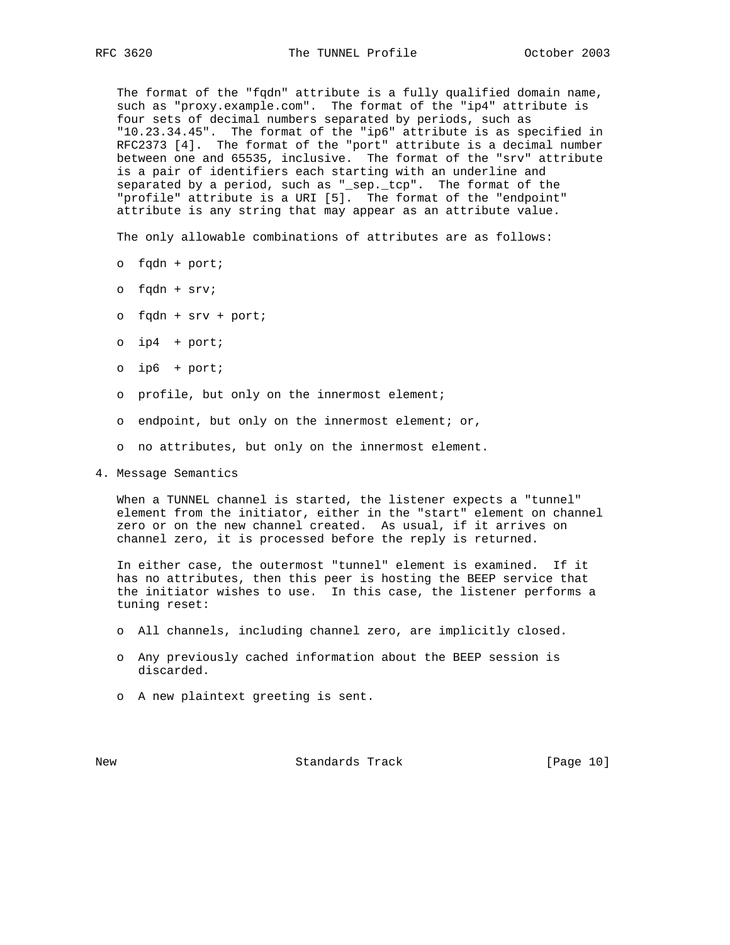The format of the "fqdn" attribute is a fully qualified domain name, such as "proxy.example.com". The format of the "ip4" attribute is four sets of decimal numbers separated by periods, such as "10.23.34.45". The format of the "ip6" attribute is as specified in RFC2373 [4]. The format of the "port" attribute is a decimal number between one and 65535, inclusive. The format of the "srv" attribute is a pair of identifiers each starting with an underline and separated by a period, such as "\_sep.\_tcp". The format of the "profile" attribute is a URI [5]. The format of the "endpoint" attribute is any string that may appear as an attribute value.

The only allowable combinations of attributes are as follows:

- o fqdn + port;
- o fqdn + srv;
- o fqdn + srv + port;
- o ip4 + port;
- o ip6 + port;
- o profile, but only on the innermost element;
- o endpoint, but only on the innermost element; or,
- o no attributes, but only on the innermost element.
- 4. Message Semantics

 When a TUNNEL channel is started, the listener expects a "tunnel" element from the initiator, either in the "start" element on channel zero or on the new channel created. As usual, if it arrives on channel zero, it is processed before the reply is returned.

 In either case, the outermost "tunnel" element is examined. If it has no attributes, then this peer is hosting the BEEP service that the initiator wishes to use. In this case, the listener performs a tuning reset:

- o All channels, including channel zero, are implicitly closed.
- o Any previously cached information about the BEEP session is discarded.
- o A new plaintext greeting is sent.

New Standards Track [Page 10]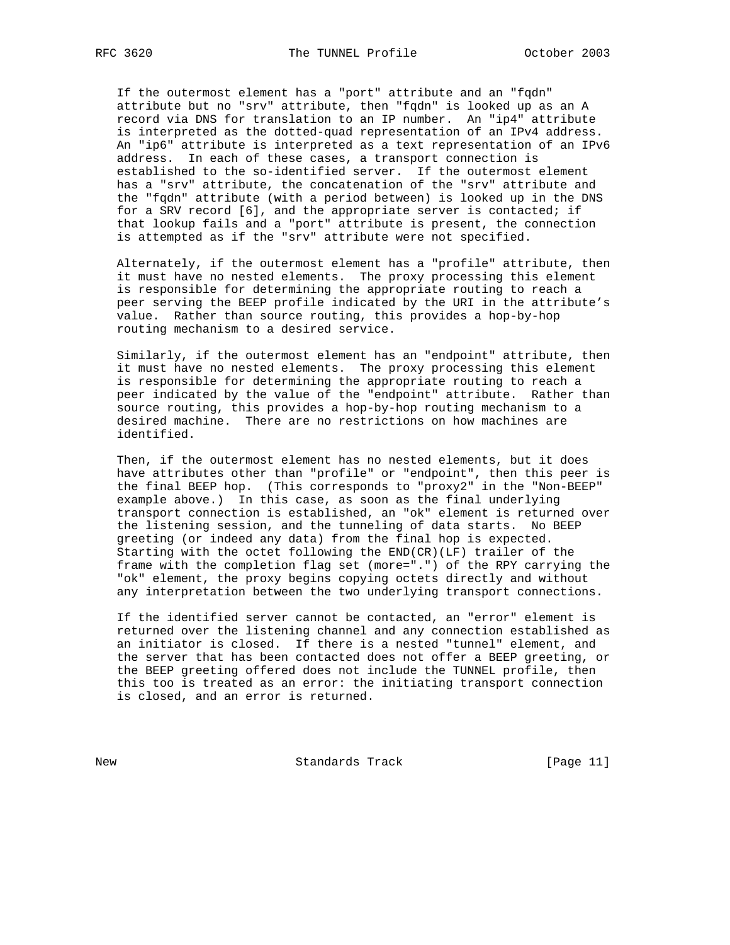If the outermost element has a "port" attribute and an "fqdn" attribute but no "srv" attribute, then "fqdn" is looked up as an A record via DNS for translation to an IP number. An "ip4" attribute is interpreted as the dotted-quad representation of an IPv4 address. An "ip6" attribute is interpreted as a text representation of an IPv6 address. In each of these cases, a transport connection is established to the so-identified server. If the outermost element has a "srv" attribute, the concatenation of the "srv" attribute and the "fqdn" attribute (with a period between) is looked up in the DNS for a SRV record [6], and the appropriate server is contacted; if that lookup fails and a "port" attribute is present, the connection is attempted as if the "srv" attribute were not specified.

 Alternately, if the outermost element has a "profile" attribute, then it must have no nested elements. The proxy processing this element is responsible for determining the appropriate routing to reach a peer serving the BEEP profile indicated by the URI in the attribute's value. Rather than source routing, this provides a hop-by-hop routing mechanism to a desired service.

 Similarly, if the outermost element has an "endpoint" attribute, then it must have no nested elements. The proxy processing this element is responsible for determining the appropriate routing to reach a peer indicated by the value of the "endpoint" attribute. Rather than source routing, this provides a hop-by-hop routing mechanism to a desired machine. There are no restrictions on how machines are identified.

 Then, if the outermost element has no nested elements, but it does have attributes other than "profile" or "endpoint", then this peer is the final BEEP hop. (This corresponds to "proxy2" in the "Non-BEEP" example above.) In this case, as soon as the final underlying transport connection is established, an "ok" element is returned over the listening session, and the tunneling of data starts. No BEEP greeting (or indeed any data) from the final hop is expected. Starting with the octet following the END(CR)(LF) trailer of the frame with the completion flag set (more=".") of the RPY carrying the "ok" element, the proxy begins copying octets directly and without any interpretation between the two underlying transport connections.

 If the identified server cannot be contacted, an "error" element is returned over the listening channel and any connection established as an initiator is closed. If there is a nested "tunnel" element, and the server that has been contacted does not offer a BEEP greeting, or the BEEP greeting offered does not include the TUNNEL profile, then this too is treated as an error: the initiating transport connection is closed, and an error is returned.

New Standards Track [Page 11]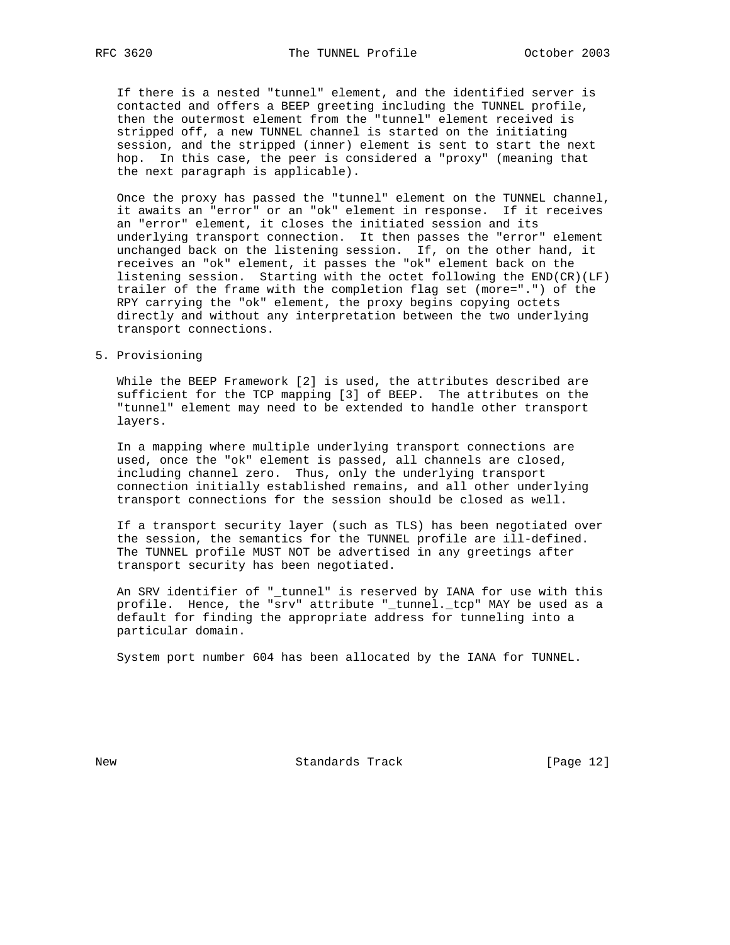If there is a nested "tunnel" element, and the identified server is contacted and offers a BEEP greeting including the TUNNEL profile, then the outermost element from the "tunnel" element received is stripped off, a new TUNNEL channel is started on the initiating session, and the stripped (inner) element is sent to start the next hop. In this case, the peer is considered a "proxy" (meaning that the next paragraph is applicable).

 Once the proxy has passed the "tunnel" element on the TUNNEL channel, it awaits an "error" or an "ok" element in response. If it receives an "error" element, it closes the initiated session and its underlying transport connection. It then passes the "error" element unchanged back on the listening session. If, on the other hand, it receives an "ok" element, it passes the "ok" element back on the listening session. Starting with the octet following the END(CR)(LF) trailer of the frame with the completion flag set (more=".") of the RPY carrying the "ok" element, the proxy begins copying octets directly and without any interpretation between the two underlying transport connections.

#### 5. Provisioning

 While the BEEP Framework [2] is used, the attributes described are sufficient for the TCP mapping [3] of BEEP. The attributes on the "tunnel" element may need to be extended to handle other transport layers.

 In a mapping where multiple underlying transport connections are used, once the "ok" element is passed, all channels are closed, including channel zero. Thus, only the underlying transport connection initially established remains, and all other underlying transport connections for the session should be closed as well.

 If a transport security layer (such as TLS) has been negotiated over the session, the semantics for the TUNNEL profile are ill-defined. The TUNNEL profile MUST NOT be advertised in any greetings after transport security has been negotiated.

 An SRV identifier of "\_tunnel" is reserved by IANA for use with this profile. Hence, the "srv" attribute "\_tunnel.\_tcp" MAY be used as a default for finding the appropriate address for tunneling into a particular domain.

System port number 604 has been allocated by the IANA for TUNNEL.

New Standards Track [Page 12]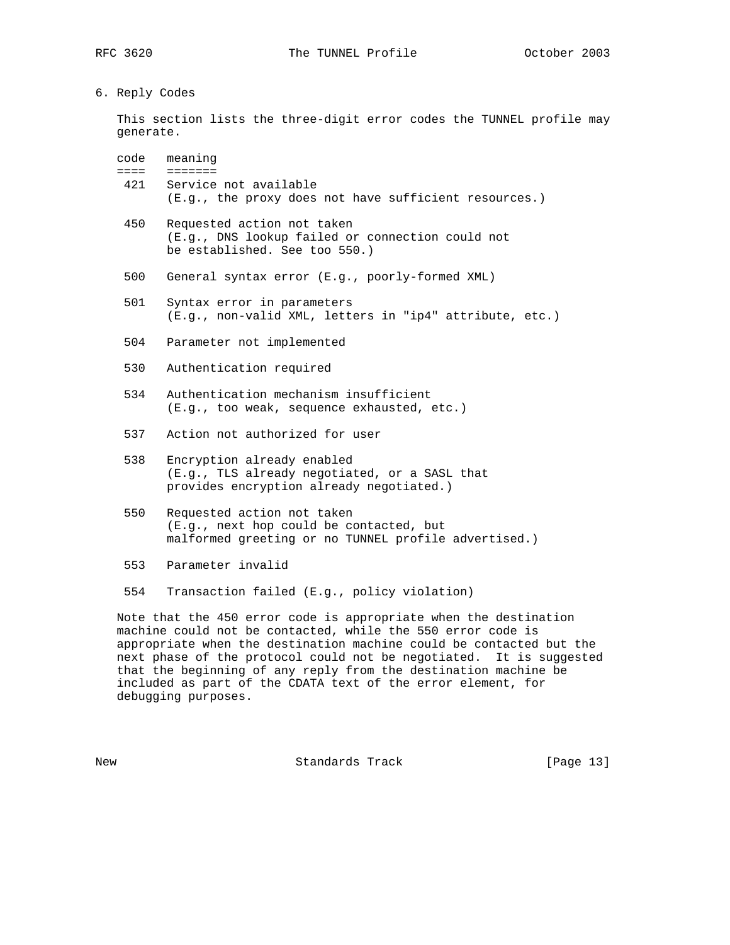6. Reply Codes

 This section lists the three-digit error codes the TUNNEL profile may generate.

| code meaning                                             |
|----------------------------------------------------------|
|                                                          |
| 421 Service not available                                |
| $(E,q, t)$ the proxy does not have sufficient resources. |

- 450 Requested action not taken (E.g., DNS lookup failed or connection could not be established. See too 550.)
- 500 General syntax error (E.g., poorly-formed XML)
- 501 Syntax error in parameters (E.g., non-valid XML, letters in "ip4" attribute, etc.)
- 504 Parameter not implemented
- 530 Authentication required
- 534 Authentication mechanism insufficient (E.g., too weak, sequence exhausted, etc.)
- 537 Action not authorized for user
- 538 Encryption already enabled (E.g., TLS already negotiated, or a SASL that provides encryption already negotiated.)
- 550 Requested action not taken (E.g., next hop could be contacted, but malformed greeting or no TUNNEL profile advertised.)
- 553 Parameter invalid
- 554 Transaction failed (E.g., policy violation)

 Note that the 450 error code is appropriate when the destination machine could not be contacted, while the 550 error code is appropriate when the destination machine could be contacted but the next phase of the protocol could not be negotiated. It is suggested that the beginning of any reply from the destination machine be included as part of the CDATA text of the error element, for debugging purposes.

New Standards Track [Page 13]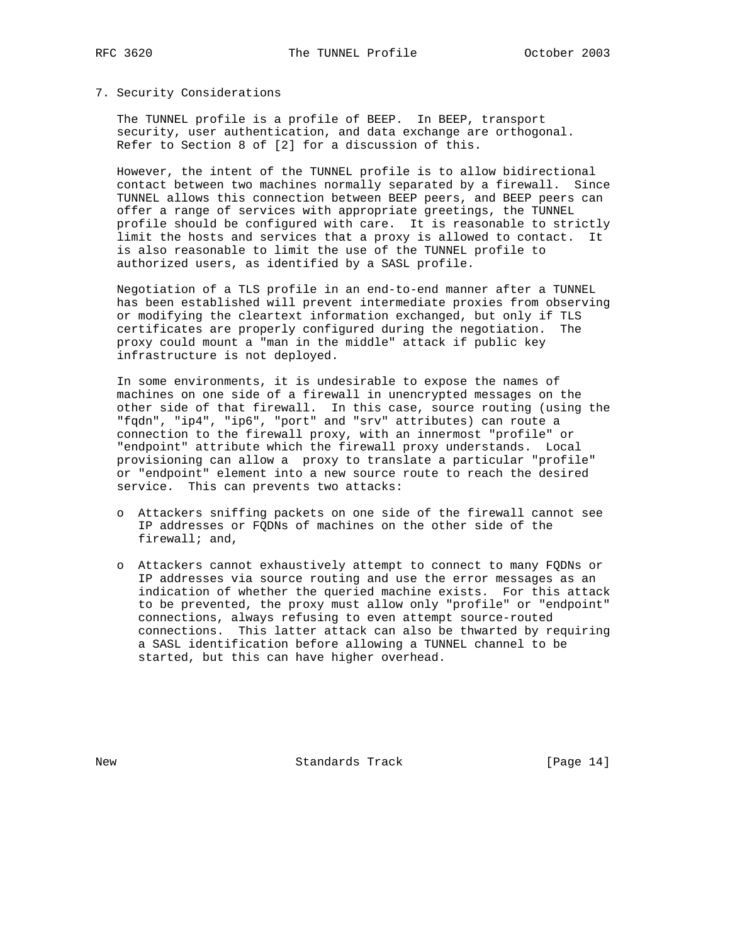## 7. Security Considerations

 The TUNNEL profile is a profile of BEEP. In BEEP, transport security, user authentication, and data exchange are orthogonal. Refer to Section 8 of [2] for a discussion of this.

 However, the intent of the TUNNEL profile is to allow bidirectional contact between two machines normally separated by a firewall. Since TUNNEL allows this connection between BEEP peers, and BEEP peers can offer a range of services with appropriate greetings, the TUNNEL profile should be configured with care. It is reasonable to strictly limit the hosts and services that a proxy is allowed to contact. It is also reasonable to limit the use of the TUNNEL profile to authorized users, as identified by a SASL profile.

 Negotiation of a TLS profile in an end-to-end manner after a TUNNEL has been established will prevent intermediate proxies from observing or modifying the cleartext information exchanged, but only if TLS certificates are properly configured during the negotiation. The proxy could mount a "man in the middle" attack if public key infrastructure is not deployed.

 In some environments, it is undesirable to expose the names of machines on one side of a firewall in unencrypted messages on the other side of that firewall. In this case, source routing (using the "fqdn", "ip4", "ip6", "port" and "srv" attributes) can route a connection to the firewall proxy, with an innermost "profile" or "endpoint" attribute which the firewall proxy understands. Local provisioning can allow a proxy to translate a particular "profile" or "endpoint" element into a new source route to reach the desired service. This can prevents two attacks:

- o Attackers sniffing packets on one side of the firewall cannot see IP addresses or FQDNs of machines on the other side of the firewall; and,
- o Attackers cannot exhaustively attempt to connect to many FQDNs or IP addresses via source routing and use the error messages as an indication of whether the queried machine exists. For this attack to be prevented, the proxy must allow only "profile" or "endpoint" connections, always refusing to even attempt source-routed connections. This latter attack can also be thwarted by requiring a SASL identification before allowing a TUNNEL channel to be started, but this can have higher overhead.

New Standards Track [Page 14]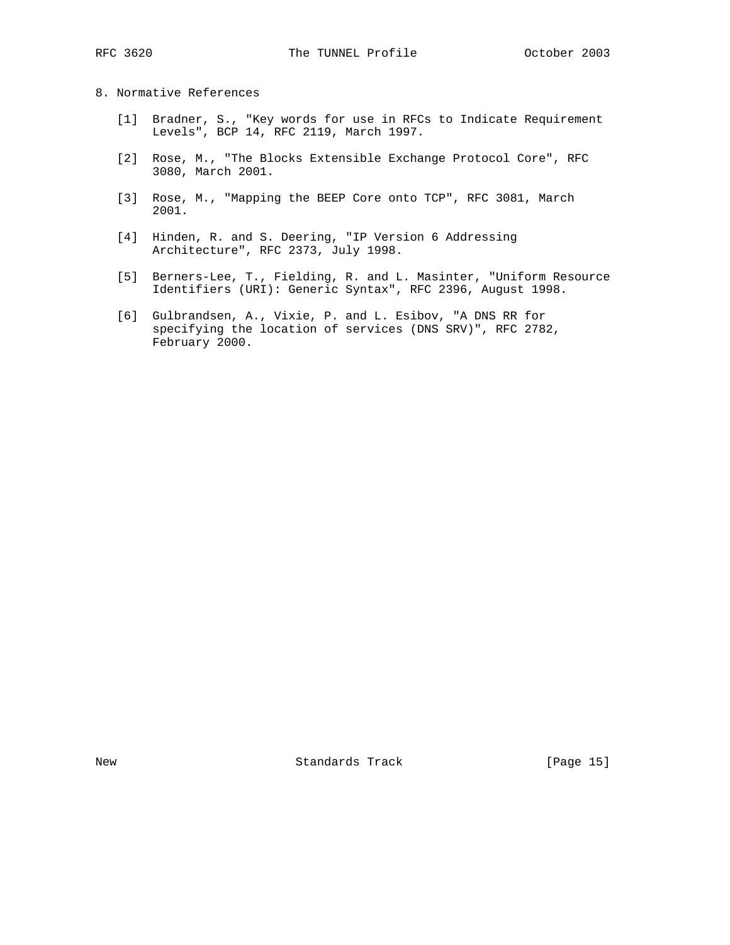8. Normative References

- [1] Bradner, S., "Key words for use in RFCs to Indicate Requirement Levels", BCP 14, RFC 2119, March 1997.
- [2] Rose, M., "The Blocks Extensible Exchange Protocol Core", RFC 3080, March 2001.
- [3] Rose, M., "Mapping the BEEP Core onto TCP", RFC 3081, March 2001.
- [4] Hinden, R. and S. Deering, "IP Version 6 Addressing Architecture", RFC 2373, July 1998.
- [5] Berners-Lee, T., Fielding, R. and L. Masinter, "Uniform Resource Identifiers (URI): Generic Syntax", RFC 2396, August 1998.
- [6] Gulbrandsen, A., Vixie, P. and L. Esibov, "A DNS RR for specifying the location of services (DNS SRV)", RFC 2782, February 2000.

New Standards Track [Page 15]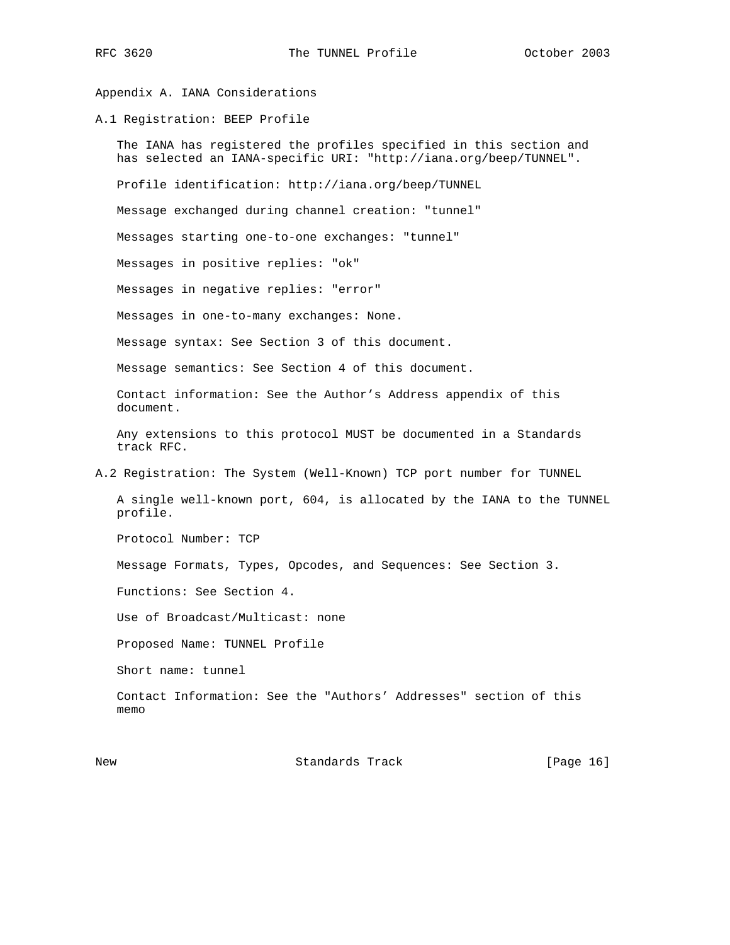Appendix A. IANA Considerations

A.1 Registration: BEEP Profile

 The IANA has registered the profiles specified in this section and has selected an IANA-specific URI: "http://iana.org/beep/TUNNEL". Profile identification: http://iana.org/beep/TUNNEL Message exchanged during channel creation: "tunnel" Messages starting one-to-one exchanges: "tunnel" Messages in positive replies: "ok" Messages in negative replies: "error" Messages in one-to-many exchanges: None. Message syntax: See Section 3 of this document. Message semantics: See Section 4 of this document. Contact information: See the Author's Address appendix of this document. Any extensions to this protocol MUST be documented in a Standards track RFC. A.2 Registration: The System (Well-Known) TCP port number for TUNNEL A single well-known port, 604, is allocated by the IANA to the TUNNEL profile. Protocol Number: TCP Message Formats, Types, Opcodes, and Sequences: See Section 3. Functions: See Section 4. Use of Broadcast/Multicast: none Proposed Name: TUNNEL Profile Short name: tunnel Contact Information: See the "Authors' Addresses" section of this memo

New Standards Track [Page 16]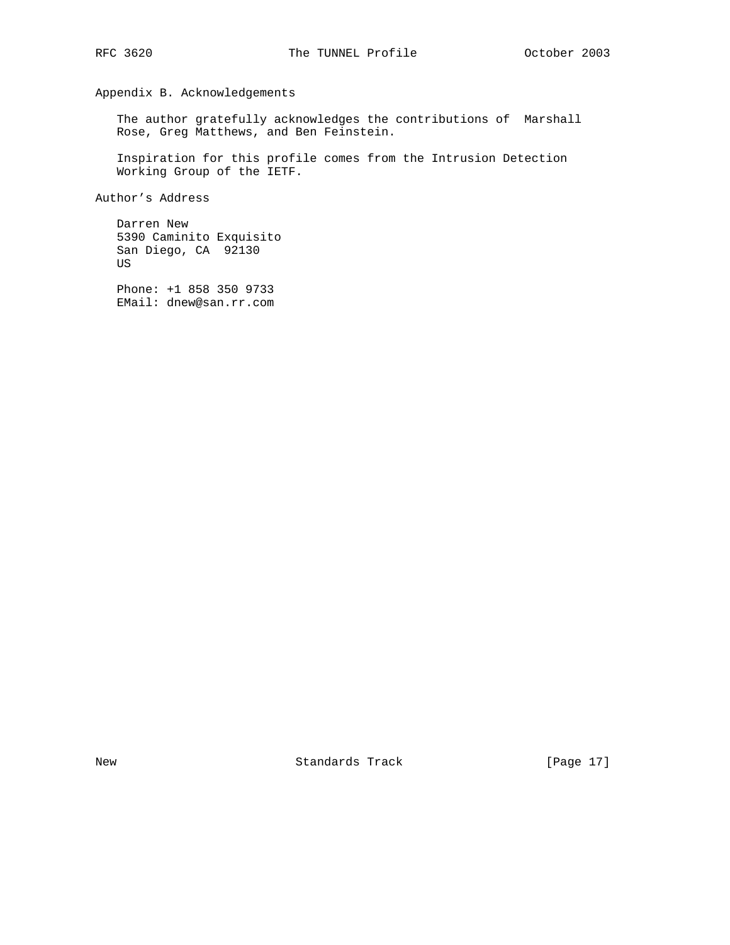Appendix B. Acknowledgements

 The author gratefully acknowledges the contributions of Marshall Rose, Greg Matthews, and Ben Feinstein.

 Inspiration for this profile comes from the Intrusion Detection Working Group of the IETF.

Author's Address

 Darren New 5390 Caminito Exquisito San Diego, CA 92130 US

 Phone: +1 858 350 9733 EMail: dnew@san.rr.com

New Standards Track [Page 17]